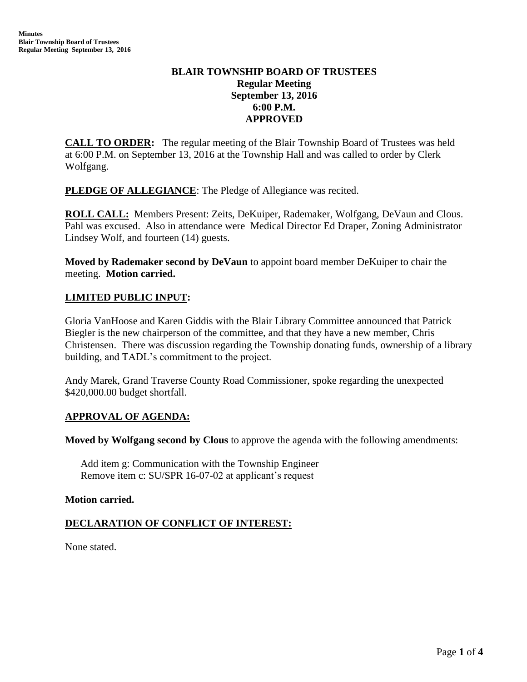# **BLAIR TOWNSHIP BOARD OF TRUSTEES Regular Meeting September 13, 2016 6:00 P.M. APPROVED**

**CALL TO ORDER:** The regular meeting of the Blair Township Board of Trustees was held at 6:00 P.M. on September 13, 2016 at the Township Hall and was called to order by Clerk Wolfgang.

**PLEDGE OF ALLEGIANCE:** The Pledge of Allegiance was recited.

**ROLL CALL:** Members Present: Zeits, DeKuiper, Rademaker, Wolfgang, DeVaun and Clous. Pahl was excused. Also in attendance were Medical Director Ed Draper, Zoning Administrator Lindsey Wolf, and fourteen (14) guests.

**Moved by Rademaker second by DeVaun** to appoint board member DeKuiper to chair the meeting. **Motion carried.**

# **LIMITED PUBLIC INPUT:**

Gloria VanHoose and Karen Giddis with the Blair Library Committee announced that Patrick Biegler is the new chairperson of the committee, and that they have a new member, Chris Christensen. There was discussion regarding the Township donating funds, ownership of a library building, and TADL's commitment to the project.

Andy Marek, Grand Traverse County Road Commissioner, spoke regarding the unexpected \$420,000.00 budget shortfall.

# **APPROVAL OF AGENDA:**

**Moved by Wolfgang second by Clous** to approve the agenda with the following amendments:

Add item g: Communication with the Township Engineer Remove item c: SU/SPR 16-07-02 at applicant's request

# **Motion carried.**

# **DECLARATION OF CONFLICT OF INTEREST:**

None stated.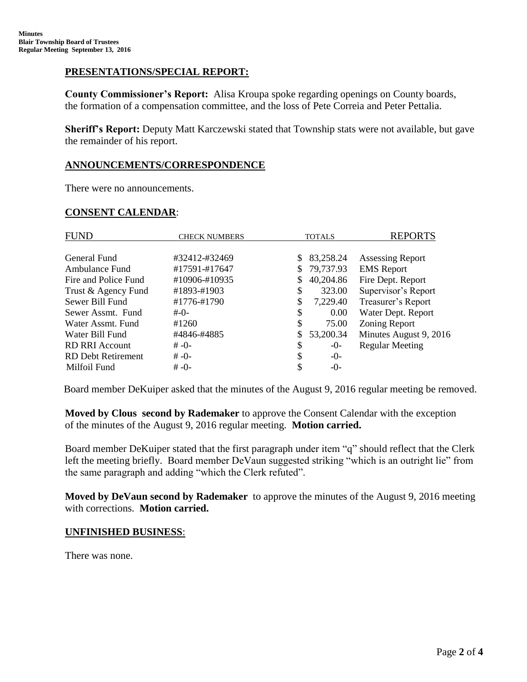# **PRESENTATIONS/SPECIAL REPORT:**

**County Commissioner's Report:** Alisa Kroupa spoke regarding openings on County boards, the formation of a compensation committee, and the loss of Pete Correia and Peter Pettalia.

**Sheriff's Report:** Deputy Matt Karczewski stated that Township stats were not available, but gave the remainder of his report.

# **ANNOUNCEMENTS/CORRESPONDENCE**

There were no announcements.

### **CONSENT CALENDAR**:

| <b>FUND</b>               | <b>CHECK NUMBERS</b> | <b>TOTALS</b> |           | <b>REPORTS</b>          |
|---------------------------|----------------------|---------------|-----------|-------------------------|
|                           |                      |               |           |                         |
| General Fund              | #32412-#32469        | S             | 83,258.24 | <b>Assessing Report</b> |
| Ambulance Fund            | #17591-#17647        | S.            | 79,737.93 | <b>EMS</b> Report       |
| Fire and Police Fund      | #10906-#10935        |               | 40,204.86 | Fire Dept. Report       |
| Trust & Agency Fund       | #1893-#1903          | S             | 323.00    | Supervisor's Report     |
| Sewer Bill Fund           | #1776-#1790          |               | 7,229.40  | Treasurer's Report      |
| Sewer Assmt. Fund         | $#$ - $()$ -         | \$            | 0.00      | Water Dept. Report      |
| Water Assmt, Fund         | #1260                | \$            | 75.00     | Zoning Report           |
| Water Bill Fund           | #4846-#4885          |               | 53,200.34 | Minutes August 9, 2016  |
| <b>RD RRI Account</b>     | $# -0-$              | S             | $-0-$     | <b>Regular Meeting</b>  |
| <b>RD Debt Retirement</b> | $# -() -$            | S             | $-0-$     |                         |
| Milfoil Fund              | $# -0-$              |               | $-()$     |                         |

Board member DeKuiper asked that the minutes of the August 9, 2016 regular meeting be removed.

 **Moved by Clous second by Rademaker** to approve the Consent Calendar with the exception of the minutes of the August 9, 2016 regular meeting. **Motion carried.**

Board member DeKuiper stated that the first paragraph under item "q" should reflect that the Clerk left the meeting briefly. Board member DeVaun suggested striking "which is an outright lie" from the same paragraph and adding "which the Clerk refuted".

 **Moved by DeVaun second by Rademaker** to approve the minutes of the August 9, 2016 meeting with corrections. **Motion carried.**

### **UNFINISHED BUSINESS**:

There was none.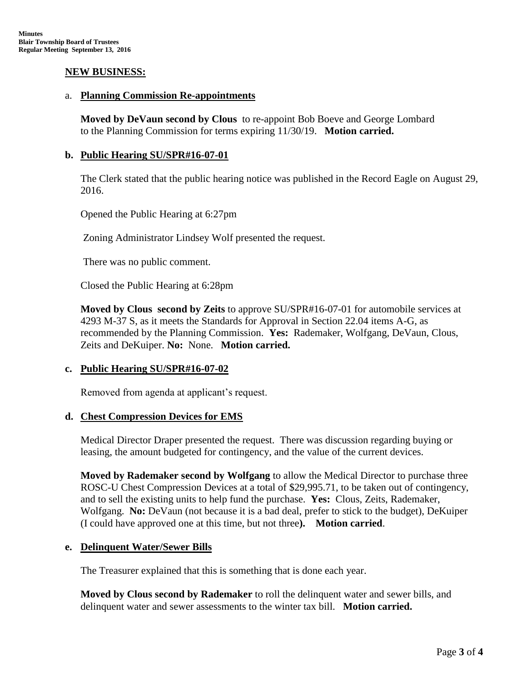### **NEW BUSINESS:**

#### a. **Planning Commission Re-appointments**

**Moved by DeVaun second by Clous** to re-appoint Bob Boeve and George Lombard to the Planning Commission for terms expiring 11/30/19. **Motion carried.**

### **b. Public Hearing SU/SPR#16-07-01**

The Clerk stated that the public hearing notice was published in the Record Eagle on August 29, 2016.

Opened the Public Hearing at 6:27pm

Zoning Administrator Lindsey Wolf presented the request.

There was no public comment.

Closed the Public Hearing at 6:28pm

**Moved by Clous second by Zeits** to approve SU/SPR#16-07-01 for automobile services at 4293 M-37 S, as it meets the Standards for Approval in Section 22.04 items A-G, as recommended by the Planning Commission. **Yes:** Rademaker, Wolfgang, DeVaun, Clous, Zeits and DeKuiper. **No:** None. **Motion carried.**

### **c. Public Hearing SU/SPR#16-07-02**

Removed from agenda at applicant's request.

### **d. Chest Compression Devices for EMS**

Medical Director Draper presented the request. There was discussion regarding buying or leasing, the amount budgeted for contingency, and the value of the current devices.

**Moved by Rademaker second by Wolfgang** to allow the Medical Director to purchase three ROSC-U Chest Compression Devices at a total of \$29,995.71, to be taken out of contingency, and to sell the existing units to help fund the purchase. **Yes:** Clous, Zeits, Rademaker, Wolfgang. **No:** DeVaun (not because it is a bad deal, prefer to stick to the budget), DeKuiper (I could have approved one at this time, but not three**). Motion carried**.

# **e. Delinquent Water/Sewer Bills**

The Treasurer explained that this is something that is done each year.

**Moved by Clous second by Rademaker** to roll the delinquent water and sewer bills, and delinquent water and sewer assessments to the winter tax bill. **Motion carried.**